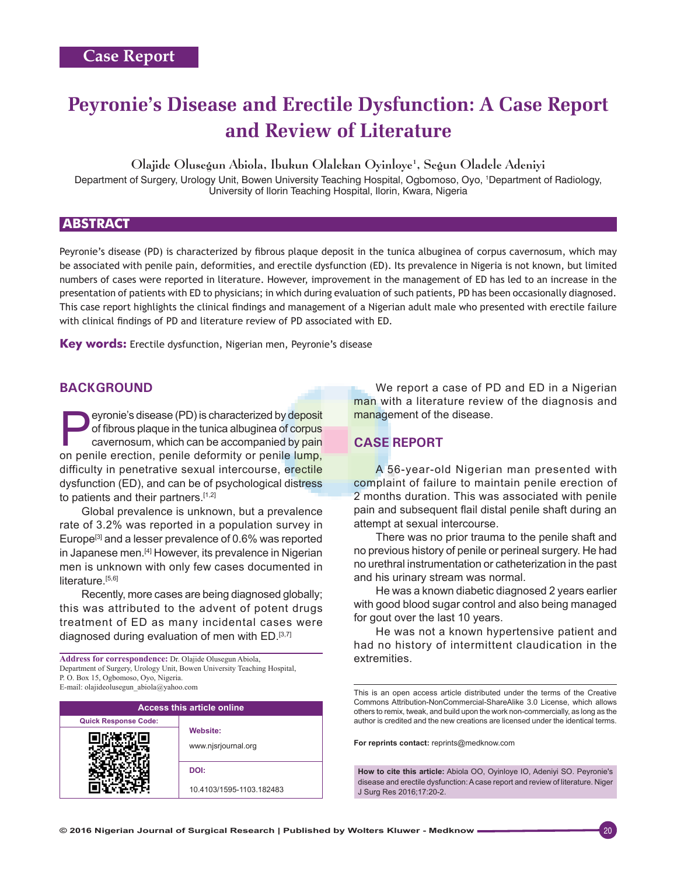# **Peyronie's Disease and Erectile Dysfunction: A Case Report and Review of Literature**

Olajide Olusegun Abiola, Ibukun Olalekan Oyinloye1 , Segun Oladele Adeniyi

Department of Surgery, Urology Unit, Bowen University Teaching Hospital, Ogbomoso, Oyo, 1 Department of Radiology, University of Ilorin Teaching Hospital, Ilorin, Kwara, Nigeria

## **ABSTRACT**

Peyronie's disease (PD) is characterized by fibrous plaque deposit in the tunica albuginea of corpus cavernosum, which may be associated with penile pain, deformities, and erectile dysfunction (ED). Its prevalence in Nigeria is not known, but limited numbers of cases were reported in literature. However, improvement in the management of ED has led to an increase in the presentation of patients with ED to physicians; in which during evaluation of such patients, PD has been occasionally diagnosed. This case report highlights the clinical findings and management of a Nigerian adult male who presented with erectile failure with clinical findings of PD and literature review of PD associated with ED.

**Key words:** Erectile dysfunction, Nigerian men, Peyronie's disease

## **BACKGROUND**

eyronie's disease (PD) is characterized by deposit of fibrous plaque in the tunica albuginea of corpus cavernosum, which can be accompanied by pain on penile erection, penile deformity or penile lump, difficulty in penetrative sexual intercourse, erectile dysfunction (ED), and can be of psychological distress to patients and their partners.<sup>[1,2]</sup>

Global prevalence is unknown, but a prevalence rate of 3.2% was reported in a population survey in Europe<sup>[3]</sup> and a lesser prevalence of 0.6% was reported in Japanese men.<sup>[4]</sup> However, its prevalence in Nigerian men is unknown with only few cases documented in literature. $[5,6]$ 

Recently, more cases are being diagnosed globally; this was attributed to the advent of potent drugs treatment of ED as many incidental cases were diagnosed during evaluation of men with ED.[3,7]

**Address for correspondence:** Dr. Olajide Olusegun Abiola, Department of Surgery, Urology Unit, Bowen University Teaching Hospital, P. O. Box 15, Ogbomoso, Oyo, Nigeria. E‑mail: olajideolusegun\_abiola@yahoo.com

| <b>Access this article online</b> |                                 |
|-----------------------------------|---------------------------------|
| <b>Quick Response Code:</b>       |                                 |
|                                   | Website:<br>www.njsrjournal.org |
|                                   | DOI:                            |
|                                   | 10.4103/1595-1103.182483        |

We report a case of PD and ED in a Nigerian man with a literature review of the diagnosis and management of the disease.

# **CASE REPORT**

A 56-year-old Nigerian man presented with complaint of failure to maintain penile erection of 2 months duration. This was associated with penile pain and subsequent flail distal penile shaft during an attempt at sexual intercourse.

There was no prior trauma to the penile shaft and no previous history of penile or perineal surgery. He had no urethral instrumentation or catheterization in the past and his urinary stream was normal.

He was a known diabetic diagnosed 2 years earlier with good blood sugar control and also being managed for gout over the last 10 years.

He was not a known hypertensive patient and had no history of intermittent claudication in the extremities.

This is an open access article distributed under the terms of the Creative Commons Attribution-NonCommercial-ShareAlike 3.0 License, which allows others to remix, tweak, and build upon the work non-commercially, as long as the author is credited and the new creations are licensed under the identical terms.

**For reprints contact:** reprints@medknow.com

**How to cite this article:** Abiola OO, Oyinloye IO, Adeniyi SO. Peyronie's disease and erectile dysfunction: A case report and review of literature. Niger J Surg Res 2016;17:20-2.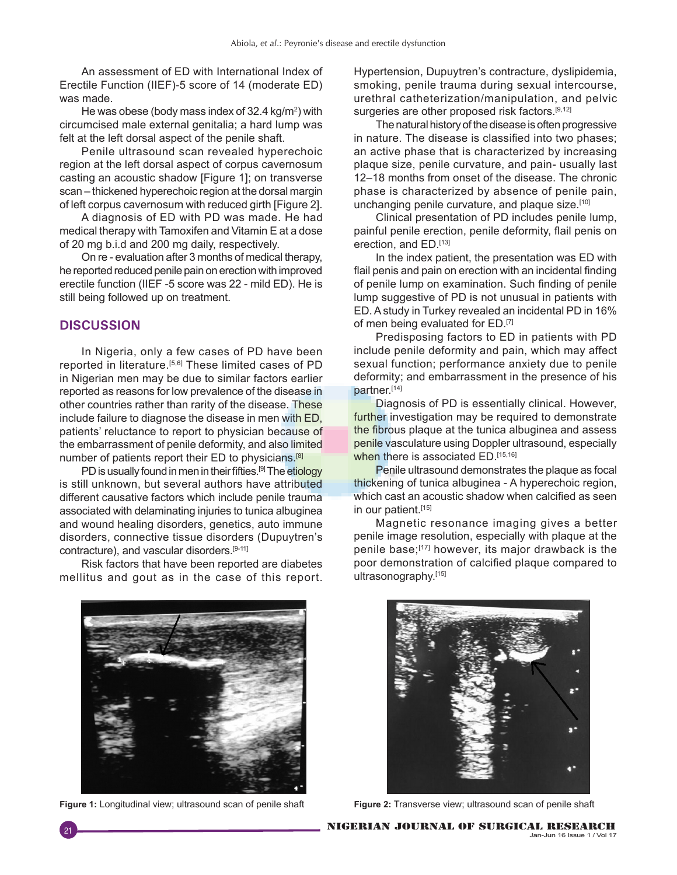An assessment of ED with International Index of Erectile Function (IIEF)-5 score of 14 (moderate ED) was made.

He was obese (body mass index of 32.4 kg/m<sup>2</sup>) with circumcised male external genitalia; a hard lump was felt at the left dorsal aspect of the penile shaft.

Penile ultrasound scan revealed hyperechoic region at the left dorsal aspect of corpus cavernosum casting an acoustic shadow [Figure 1]; on transverse scan – thickened hyperechoic region at the dorsal margin of left corpus cavernosum with reduced girth [Figure 2].

A diagnosis of ED with PD was made. He had medical therapy with Tamoxifen and Vitamin E at a dose of 20 mg b.i.d and 200 mg daily, respectively.

On re - evaluation after 3 months of medical therapy, he reported reduced penile pain on erection with improved erectile function (IIEF -5 score was 22 - mild ED). He is still being followed up on treatment.

### **DISCUSSION**

In Nigeria, only a few cases of PD have been reported in literature.[5,6] These limited cases of PD in Nigerian men may be due to similar factors earlier reported as reasons for low prevalence of the disease in other countries rather than rarity of the disease. These include failure to diagnose the disease in men with ED, patients' reluctance to report to physician because of the embarrassment of penile deformity, and also limited number of patients report their ED to physicians.<sup>[8]</sup>

PD is usually found in men in their fifties.<sup>[9]</sup> The etiology is still unknown, but several authors have attributed different causative factors which include penile trauma associated with delaminating injuries to tunica albuginea and wound healing disorders, genetics, auto immune disorders, connective tissue disorders (Dupuytren's contracture), and vascular disorders.[9-11]

Risk factors that have been reported are diabetes mellitus and gout as in the case of this report.

Hypertension, Dupuytren's contracture, dyslipidemia, smoking, penile trauma during sexual intercourse, urethral catheterization/manipulation, and pelvic surgeries are other proposed risk factors.<sup>[9,12]</sup>

The natural history of the disease is often progressive in nature. The disease is classified into two phases; an active phase that is characterized by increasing plaque size, penile curvature, and pain- usually last 12–18 months from onset of the disease. The chronic phase is characterized by absence of penile pain, unchanging penile curvature, and plaque size.<sup>[10]</sup>

Clinical presentation of PD includes penile lump, painful penile erection, penile deformity, flail penis on erection, and ED.[13]

In the index patient, the presentation was ED with flail penis and pain on erection with an incidental finding of penile lump on examination. Such finding of penile lump suggestive of PD is not unusual in patients with ED. Astudy in Turkey revealed an incidental PD in 16% of men being evaluated for ED.[7]

Predisposing factors to ED in patients with PD include penile deformity and pain, which may affect sexual function; performance anxiety due to penile deformity; and embarrassment in the presence of his partner.[14]

Diagnosis of PD is essentially clinical. However, further investigation may be required to demonstrate the fibrous plaque at the tunica albuginea and assess penile vasculature using Doppler ultrasound, especially when there is associated ED.[15,16]

Penile ultrasound demonstrates the plaque as focal thickening of tunica albuginea - A hyperechoic region, which cast an acoustic shadow when calcified as seen in our patient.[15]

Magnetic resonance imaging gives a better penile image resolution, especially with plaque at the penile base;<sup>[17]</sup> however, its major drawback is the poor demonstration of calcified plaque compared to ultrasonography.[15]



**Figure 1:** Longitudinal view; ultrasound scan of penile shaft **Figure 2:** Transverse view; ultrasound scan of penile shaft